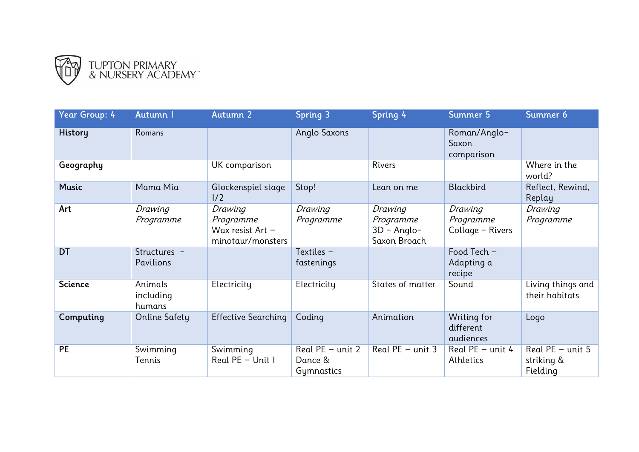

| Year Group: 4  | Autumn I                         | Autumn 2                                                      | <b>Spring 3</b>                             | Spring 4                                              | Summer 5                                 | Summer 6                                     |
|----------------|----------------------------------|---------------------------------------------------------------|---------------------------------------------|-------------------------------------------------------|------------------------------------------|----------------------------------------------|
| <b>History</b> | <b>Romans</b>                    |                                                               | Anglo Saxons                                |                                                       | Roman/Anglo-<br>Saxon<br>comparison      |                                              |
| Geography      |                                  | UK comparison                                                 |                                             | Rivers                                                |                                          | Where in the<br>world?                       |
| <b>Music</b>   | Mama Mia                         | Glockenspiel stage<br>1/2                                     | Stop!                                       | Lean on me                                            | Blackbird                                | Reflect, Rewind,<br>Replay                   |
| Art            | Drawing<br>Programme             | Drawing<br>Programme<br>Wax resist Art -<br>minotaur/monsters | Drawing<br>Programme                        | Drawing<br>Programme<br>$3D - Anglo-$<br>Saxon Broach | Drawing<br>Programme<br>Collage - Rivers | Drawing<br>Programme                         |
| <b>DT</b>      | Structures -<br><b>Pavilions</b> |                                                               | Textiles -<br>fastenings                    |                                                       | Food Tech -<br>Adapting a<br>recipe      |                                              |
| <b>Science</b> | Animals<br>including<br>humans   | Electricity                                                   | Electricity                                 | States of matter                                      | Sound                                    | Living things and<br>their habitats          |
| Computing      | Online Safety                    | <b>Effective Searching</b>                                    | Coding                                      | Animation                                             | Writing for<br>different<br>audiences    | Logo                                         |
| <b>PE</b>      | Swimming<br>Tennis               | Swimming<br>Real PE - Unit I                                  | Real $PE - unit 2$<br>Dance &<br>Gymnastics | Real $PE - unit 3$                                    | Real $PE - unit 4$<br>Athletics          | Real $PE - unit 5$<br>striking &<br>Fielding |